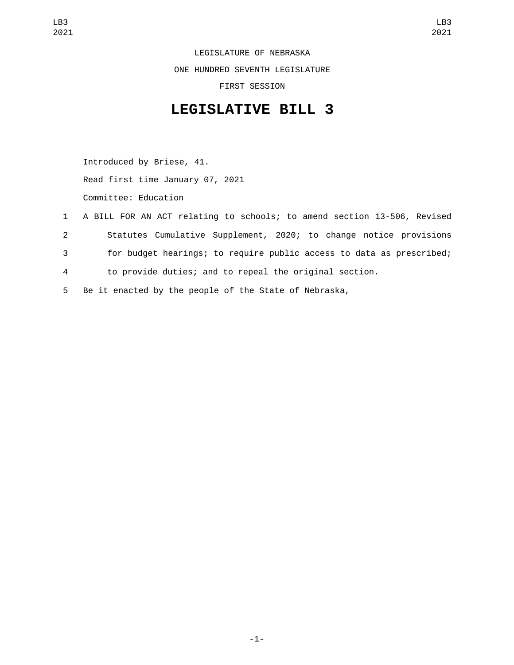LEGISLATURE OF NEBRASKA ONE HUNDRED SEVENTH LEGISLATURE FIRST SESSION

## **LEGISLATIVE BILL 3**

Introduced by Briese, 41. Read first time January 07, 2021 Committee: Education

- 1 A BILL FOR AN ACT relating to schools; to amend section 13-506, Revised 2 Statutes Cumulative Supplement, 2020; to change notice provisions 3 for budget hearings; to require public access to data as prescribed; 4 to provide duties; and to repeal the original section.
- 5 Be it enacted by the people of the State of Nebraska,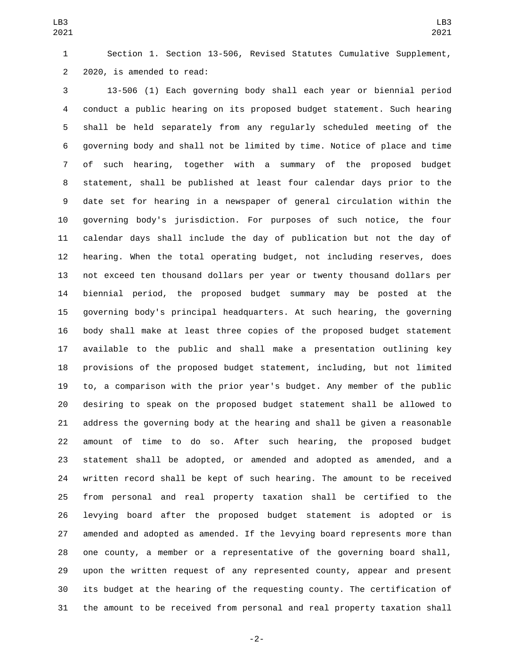Section 1. Section 13-506, Revised Statutes Cumulative Supplement, 2 2020, is amended to read:

 13-506 (1) Each governing body shall each year or biennial period conduct a public hearing on its proposed budget statement. Such hearing shall be held separately from any regularly scheduled meeting of the governing body and shall not be limited by time. Notice of place and time of such hearing, together with a summary of the proposed budget statement, shall be published at least four calendar days prior to the date set for hearing in a newspaper of general circulation within the governing body's jurisdiction. For purposes of such notice, the four calendar days shall include the day of publication but not the day of hearing. When the total operating budget, not including reserves, does not exceed ten thousand dollars per year or twenty thousand dollars per biennial period, the proposed budget summary may be posted at the governing body's principal headquarters. At such hearing, the governing body shall make at least three copies of the proposed budget statement available to the public and shall make a presentation outlining key provisions of the proposed budget statement, including, but not limited to, a comparison with the prior year's budget. Any member of the public desiring to speak on the proposed budget statement shall be allowed to address the governing body at the hearing and shall be given a reasonable amount of time to do so. After such hearing, the proposed budget statement shall be adopted, or amended and adopted as amended, and a written record shall be kept of such hearing. The amount to be received from personal and real property taxation shall be certified to the levying board after the proposed budget statement is adopted or is amended and adopted as amended. If the levying board represents more than one county, a member or a representative of the governing board shall, upon the written request of any represented county, appear and present its budget at the hearing of the requesting county. The certification of the amount to be received from personal and real property taxation shall

-2-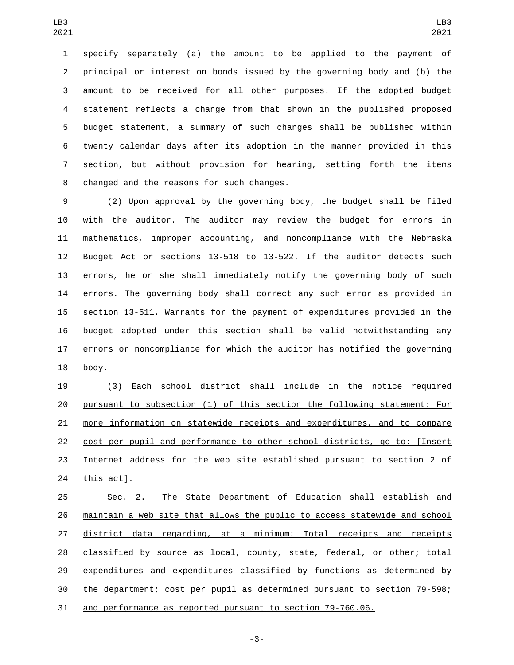specify separately (a) the amount to be applied to the payment of principal or interest on bonds issued by the governing body and (b) the amount to be received for all other purposes. If the adopted budget statement reflects a change from that shown in the published proposed budget statement, a summary of such changes shall be published within twenty calendar days after its adoption in the manner provided in this section, but without provision for hearing, setting forth the items 8 changed and the reasons for such changes.

 (2) Upon approval by the governing body, the budget shall be filed with the auditor. The auditor may review the budget for errors in mathematics, improper accounting, and noncompliance with the Nebraska Budget Act or sections 13-518 to 13-522. If the auditor detects such errors, he or she shall immediately notify the governing body of such errors. The governing body shall correct any such error as provided in section 13-511. Warrants for the payment of expenditures provided in the budget adopted under this section shall be valid notwithstanding any errors or noncompliance for which the auditor has notified the governing 18 body.

 (3) Each school district shall include in the notice required pursuant to subsection (1) of this section the following statement: For more information on statewide receipts and expenditures, and to compare cost per pupil and performance to other school districts, go to: [Insert Internet address for the web site established pursuant to section 2 of 24 <u>this act].</u>

 Sec. 2. The State Department of Education shall establish and maintain a web site that allows the public to access statewide and school district data regarding, at a minimum: Total receipts and receipts classified by source as local, county, state, federal, or other; total expenditures and expenditures classified by functions as determined by the department; cost per pupil as determined pursuant to section 79-598; and performance as reported pursuant to section 79-760.06.